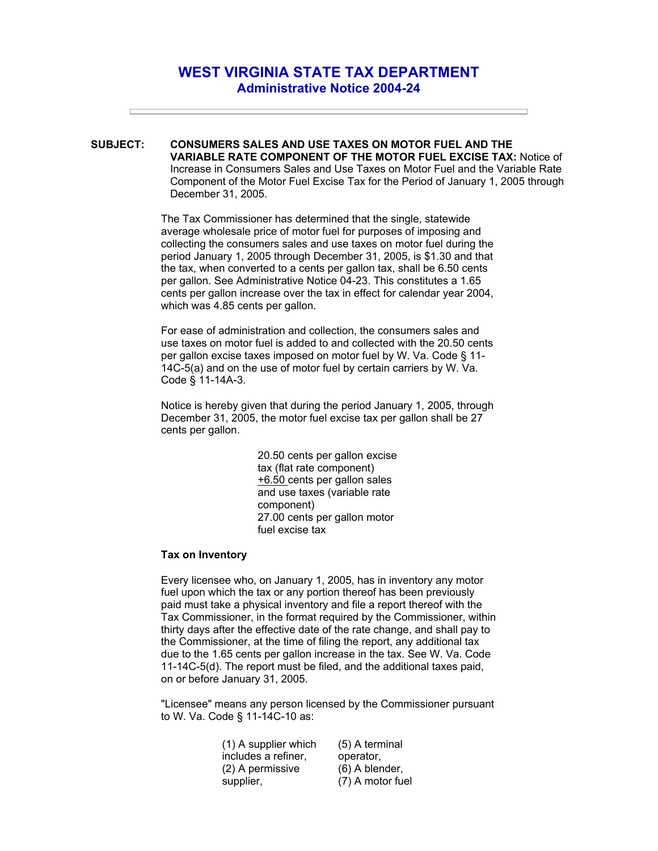## **WEST VIRGINIA STATE TAX DEPARTMENT Administrative Notice 2004-24**

## **SUBJECT: CONSUMERS SALES AND USE TAXES ON MOTOR FUEL AND THE VARIABLE RATE COMPONENT OF THE MOTOR FUEL EXCISE TAX:** Notice of Increase in Consumers Sales and Use Taxes on Motor Fuel and the Variable Rate Component of the Motor Fuel Excise Tax for the Period of January 1, 2005 through December 31, 2005.

The Tax Commissioner has determined that the single, statewide average wholesale price of motor fuel for purposes of imposing and collecting the consumers sales and use taxes on motor fuel during the period January 1, 2005 through December 31, 2005, is \$1.30 and that the tax, when converted to a cents per gallon tax, shall be 6.50 cents per gallon. See Administrative Notice 04-23. This constitutes a 1.65 cents per gallon increase over the tax in effect for calendar year 2004, which was 4.85 cents per gallon.

For ease of administration and collection, the consumers sales and use taxes on motor fuel is added to and collected with the 20.50 cents per gallon excise taxes imposed on motor fuel by W. Va. Code § 11- 14C-5(a) and on the use of motor fuel by certain carriers by W. Va. Code § 11-14A-3.

Notice is hereby given that during the period January 1, 2005, through December 31, 2005, the motor fuel excise tax per gallon shall be 27 cents per gallon.

> 20.50 cents per gallon excise tax (flat rate component) +6.50 cents per gallon sales and use taxes (variable rate component) 27.00 cents per gallon motor fuel excise tax

## **Tax on Inventory**

Every licensee who, on January 1, 2005, has in inventory any motor fuel upon which the tax or any portion thereof has been previously paid must take a physical inventory and file a report thereof with the Tax Commissioner, in the format required by the Commissioner, within thirty days after the effective date of the rate change, and shall pay to the Commissioner, at the time of filing the report, any additional tax due to the 1.65 cents per gallon increase in the tax. See W. Va. Code 11-14C-5(d). The report must be filed, and the additional taxes paid, on or before January 31, 2005.

"Licensee" means any person licensed by the Commissioner pursuant to W. Va. Code § 11-14C-10 as:

> (1) A supplier which includes a refiner, (2) A permissive supplier, (5) A terminal operator, (6) A blender, (7) A motor fuel